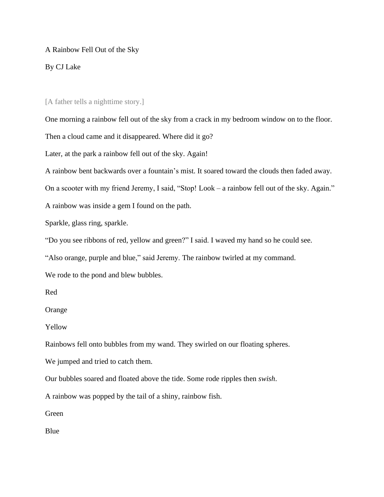## A Rainbow Fell Out of the Sky

## By CJ Lake

## [A father tells a nighttime story.]

One morning a rainbow fell out of the sky from a crack in my bedroom window on to the floor.

Then a cloud came and it disappeared. Where did it go?

Later, at the park a rainbow fell out of the sky. Again!

A rainbow bent backwards over a fountain's mist. It soared toward the clouds then faded away.

On a scooter with my friend Jeremy, I said, "Stop! Look – a rainbow fell out of the sky. Again."

A rainbow was inside a gem I found on the path.

Sparkle, glass ring, sparkle.

"Do you see ribbons of red, yellow and green?" I said. I waved my hand so he could see.

"Also orange, purple and blue," said Jeremy. The rainbow twirled at my command.

We rode to the pond and blew bubbles.

Red

Orange

Yellow

Rainbows fell onto bubbles from my wand. They swirled on our floating spheres.

We jumped and tried to catch them.

Our bubbles soared and floated above the tide. Some rode ripples then *swish*.

A rainbow was popped by the tail of a shiny, rainbow fish.

Green

Blue